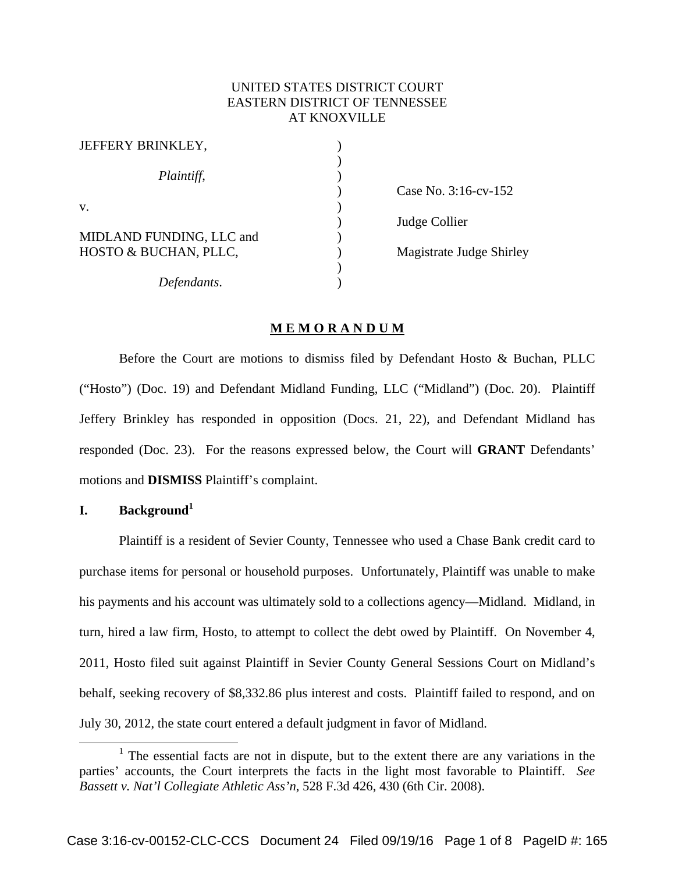# UNITED STATES DISTRICT COURT EASTERN DISTRICT OF TENNESSEE AT KNOXVILLE

| JEFFERY BRINKLEY,        |  |
|--------------------------|--|
| Plaintiff,               |  |
| V.                       |  |
| MIDLAND FUNDING, LLC and |  |
| HOSTO & BUCHAN, PLLC,    |  |
|                          |  |
| Defendants.              |  |

 ) Case No. 3:16-cv-152 ) Judge Collier Magistrate Judge Shirley

### **M E M O R A N D U M**

 Before the Court are motions to dismiss filed by Defendant Hosto & Buchan, PLLC ("Hosto") (Doc. 19) and Defendant Midland Funding, LLC ("Midland") (Doc. 20). Plaintiff Jeffery Brinkley has responded in opposition (Docs. 21, 22), and Defendant Midland has responded (Doc. 23). For the reasons expressed below, the Court will **GRANT** Defendants' motions and **DISMISS** Plaintiff's complaint.

## **I. Background<sup>1</sup>**

Plaintiff is a resident of Sevier County, Tennessee who used a Chase Bank credit card to purchase items for personal or household purposes. Unfortunately, Plaintiff was unable to make his payments and his account was ultimately sold to a collections agency—Midland. Midland, in turn, hired a law firm, Hosto, to attempt to collect the debt owed by Plaintiff. On November 4, 2011, Hosto filed suit against Plaintiff in Sevier County General Sessions Court on Midland's behalf, seeking recovery of \$8,332.86 plus interest and costs. Plaintiff failed to respond, and on July 30, 2012, the state court entered a default judgment in favor of Midland.

<sup>&</sup>lt;u>1</u>  $1$  The essential facts are not in dispute, but to the extent there are any variations in the parties' accounts, the Court interprets the facts in the light most favorable to Plaintiff. *See Bassett v. Nat'l Collegiate Athletic Ass'n*, 528 F.3d 426, 430 (6th Cir. 2008).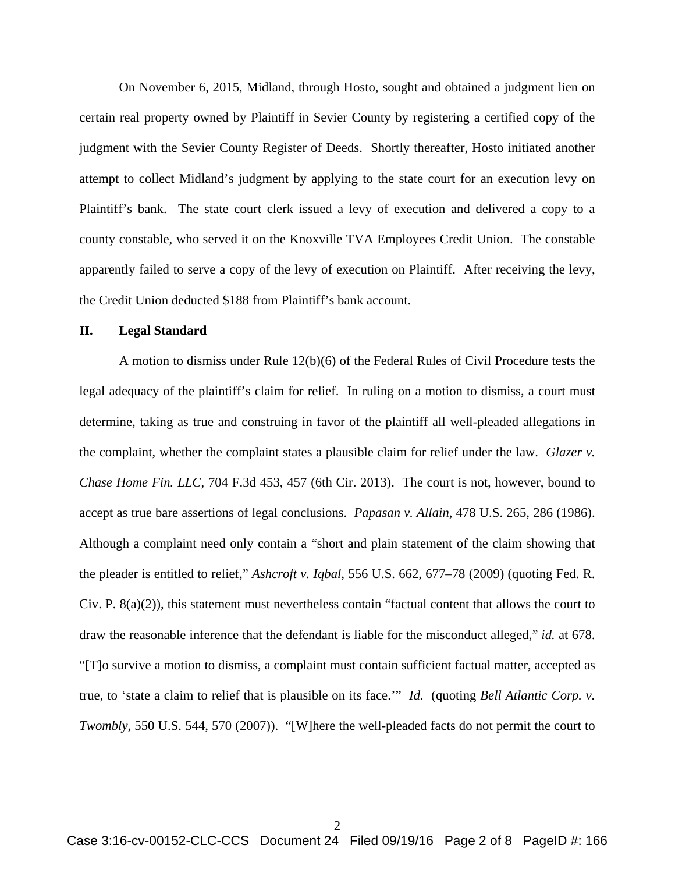On November 6, 2015, Midland, through Hosto, sought and obtained a judgment lien on certain real property owned by Plaintiff in Sevier County by registering a certified copy of the judgment with the Sevier County Register of Deeds. Shortly thereafter, Hosto initiated another attempt to collect Midland's judgment by applying to the state court for an execution levy on Plaintiff's bank. The state court clerk issued a levy of execution and delivered a copy to a county constable, who served it on the Knoxville TVA Employees Credit Union. The constable apparently failed to serve a copy of the levy of execution on Plaintiff. After receiving the levy, the Credit Union deducted \$188 from Plaintiff's bank account.

#### **II. Legal Standard**

 A motion to dismiss under Rule 12(b)(6) of the Federal Rules of Civil Procedure tests the legal adequacy of the plaintiff's claim for relief. In ruling on a motion to dismiss, a court must determine, taking as true and construing in favor of the plaintiff all well-pleaded allegations in the complaint, whether the complaint states a plausible claim for relief under the law. *Glazer v. Chase Home Fin. LLC*, 704 F.3d 453, 457 (6th Cir. 2013). The court is not, however, bound to accept as true bare assertions of legal conclusions. *Papasan v. Allain*, 478 U.S. 265, 286 (1986). Although a complaint need only contain a "short and plain statement of the claim showing that the pleader is entitled to relief," *Ashcroft v. Iqbal*, 556 U.S. 662, 677–78 (2009) (quoting Fed. R. Civ. P.  $8(a)(2)$ ), this statement must nevertheless contain "factual content that allows the court to draw the reasonable inference that the defendant is liable for the misconduct alleged," *id.* at 678. "[T]o survive a motion to dismiss, a complaint must contain sufficient factual matter, accepted as true, to 'state a claim to relief that is plausible on its face.'" *Id.* (quoting *Bell Atlantic Corp. v. Twombly*, 550 U.S. 544, 570 (2007)). "[W]here the well-pleaded facts do not permit the court to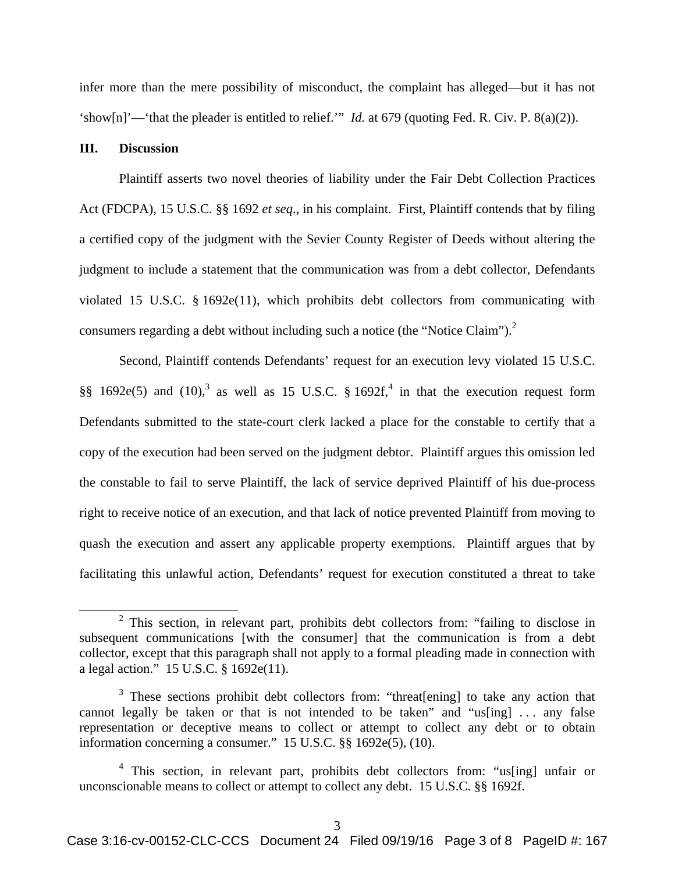infer more than the mere possibility of misconduct, the complaint has alleged—but it has not 'show[n]'—'that the pleader is entitled to relief.'" *Id.* at 679 (quoting Fed. R. Civ. P. 8(a)(2)).

### **III. Discussion**

Plaintiff asserts two novel theories of liability under the Fair Debt Collection Practices Act (FDCPA), 15 U.S.C. §§ 1692 *et seq*., in his complaint. First, Plaintiff contends that by filing a certified copy of the judgment with the Sevier County Register of Deeds without altering the judgment to include a statement that the communication was from a debt collector, Defendants violated 15 U.S.C. § 1692e(11), which prohibits debt collectors from communicating with consumers regarding a debt without including such a notice (the "Notice Claim"). $^2$ 

Second, Plaintiff contends Defendants' request for an execution levy violated 15 U.S.C. §§ 1692e(5) and (10),<sup>3</sup> as well as 15 U.S.C. § 1692f,<sup>4</sup> in that the execution request form Defendants submitted to the state-court clerk lacked a place for the constable to certify that a copy of the execution had been served on the judgment debtor. Plaintiff argues this omission led the constable to fail to serve Plaintiff, the lack of service deprived Plaintiff of his due-process right to receive notice of an execution, and that lack of notice prevented Plaintiff from moving to quash the execution and assert any applicable property exemptions. Plaintiff argues that by facilitating this unlawful action, Defendants' request for execution constituted a threat to take

 <sup>2</sup>  $2$  This section, in relevant part, prohibits debt collectors from: "failing to disclose in subsequent communications [with the consumer] that the communication is from a debt collector, except that this paragraph shall not apply to a formal pleading made in connection with a legal action." 15 U.S.C. § 1692e(11).

 $3$  These sections prohibit debt collectors from: "threat[ening] to take any action that cannot legally be taken or that is not intended to be taken" and "us[ing] ... any false representation or deceptive means to collect or attempt to collect any debt or to obtain information concerning a consumer." 15 U.S.C. §§ 1692e(5), (10).

<sup>&</sup>lt;sup>4</sup> This section, in relevant part, prohibits debt collectors from: "us[ing] unfair or unconscionable means to collect or attempt to collect any debt. 15 U.S.C. §§ 1692f.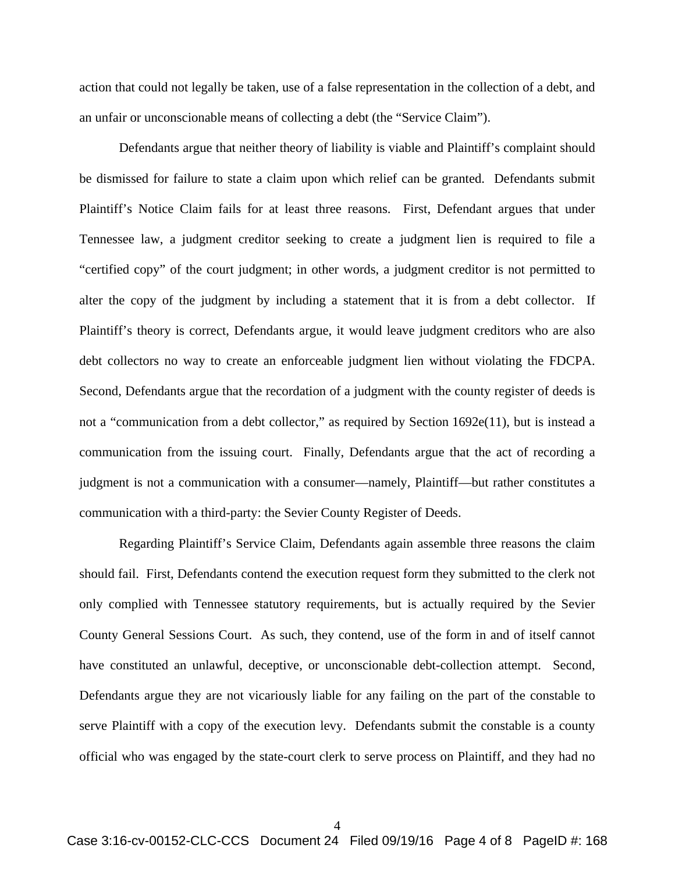action that could not legally be taken, use of a false representation in the collection of a debt, and an unfair or unconscionable means of collecting a debt (the "Service Claim").

Defendants argue that neither theory of liability is viable and Plaintiff's complaint should be dismissed for failure to state a claim upon which relief can be granted. Defendants submit Plaintiff's Notice Claim fails for at least three reasons. First, Defendant argues that under Tennessee law, a judgment creditor seeking to create a judgment lien is required to file a "certified copy" of the court judgment; in other words, a judgment creditor is not permitted to alter the copy of the judgment by including a statement that it is from a debt collector. If Plaintiff's theory is correct, Defendants argue, it would leave judgment creditors who are also debt collectors no way to create an enforceable judgment lien without violating the FDCPA. Second, Defendants argue that the recordation of a judgment with the county register of deeds is not a "communication from a debt collector," as required by Section 1692e(11), but is instead a communication from the issuing court. Finally, Defendants argue that the act of recording a judgment is not a communication with a consumer—namely, Plaintiff—but rather constitutes a communication with a third-party: the Sevier County Register of Deeds.

Regarding Plaintiff's Service Claim, Defendants again assemble three reasons the claim should fail. First, Defendants contend the execution request form they submitted to the clerk not only complied with Tennessee statutory requirements, but is actually required by the Sevier County General Sessions Court. As such, they contend, use of the form in and of itself cannot have constituted an unlawful, deceptive, or unconscionable debt-collection attempt. Second, Defendants argue they are not vicariously liable for any failing on the part of the constable to serve Plaintiff with a copy of the execution levy. Defendants submit the constable is a county official who was engaged by the state-court clerk to serve process on Plaintiff, and they had no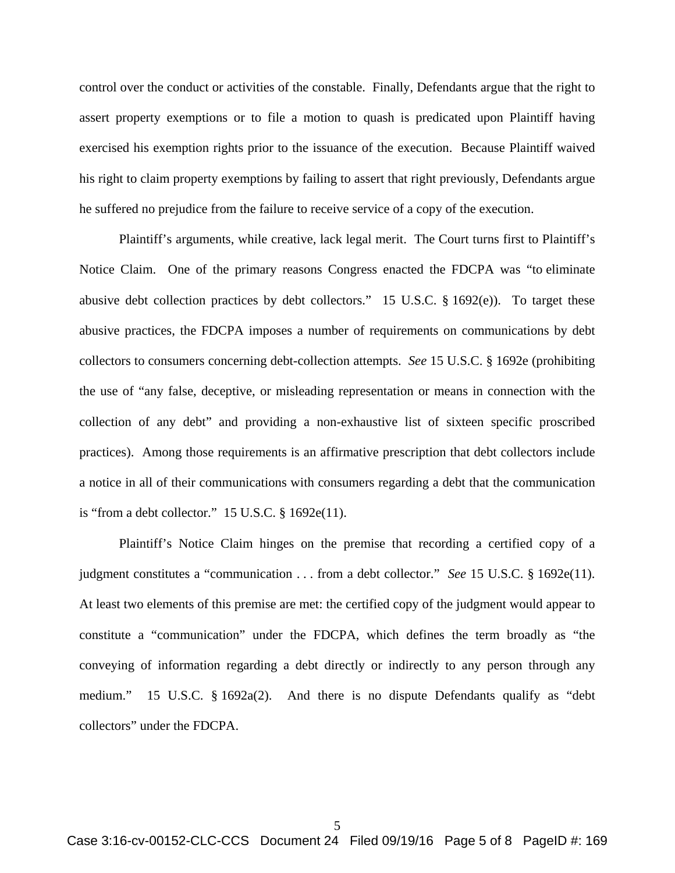control over the conduct or activities of the constable. Finally, Defendants argue that the right to assert property exemptions or to file a motion to quash is predicated upon Plaintiff having exercised his exemption rights prior to the issuance of the execution. Because Plaintiff waived his right to claim property exemptions by failing to assert that right previously, Defendants argue he suffered no prejudice from the failure to receive service of a copy of the execution.

Plaintiff's arguments, while creative, lack legal merit. The Court turns first to Plaintiff's Notice Claim. One of the primary reasons Congress enacted the FDCPA was "to eliminate abusive debt collection practices by debt collectors." 15 U.S.C. § 1692(e)). To target these abusive practices, the FDCPA imposes a number of requirements on communications by debt collectors to consumers concerning debt-collection attempts. *See* 15 U.S.C. § 1692e (prohibiting the use of "any false, deceptive, or misleading representation or means in connection with the collection of any debt" and providing a non-exhaustive list of sixteen specific proscribed practices). Among those requirements is an affirmative prescription that debt collectors include a notice in all of their communications with consumers regarding a debt that the communication is "from a debt collector."  $15$  U.S.C.  $\S$  1692e(11).

Plaintiff's Notice Claim hinges on the premise that recording a certified copy of a judgment constitutes a "communication . . . from a debt collector." *See* 15 U.S.C. § 1692e(11). At least two elements of this premise are met: the certified copy of the judgment would appear to constitute a "communication" under the FDCPA, which defines the term broadly as "the conveying of information regarding a debt directly or indirectly to any person through any medium." 15 U.S.C. § 1692a(2). And there is no dispute Defendants qualify as "debt collectors" under the FDCPA.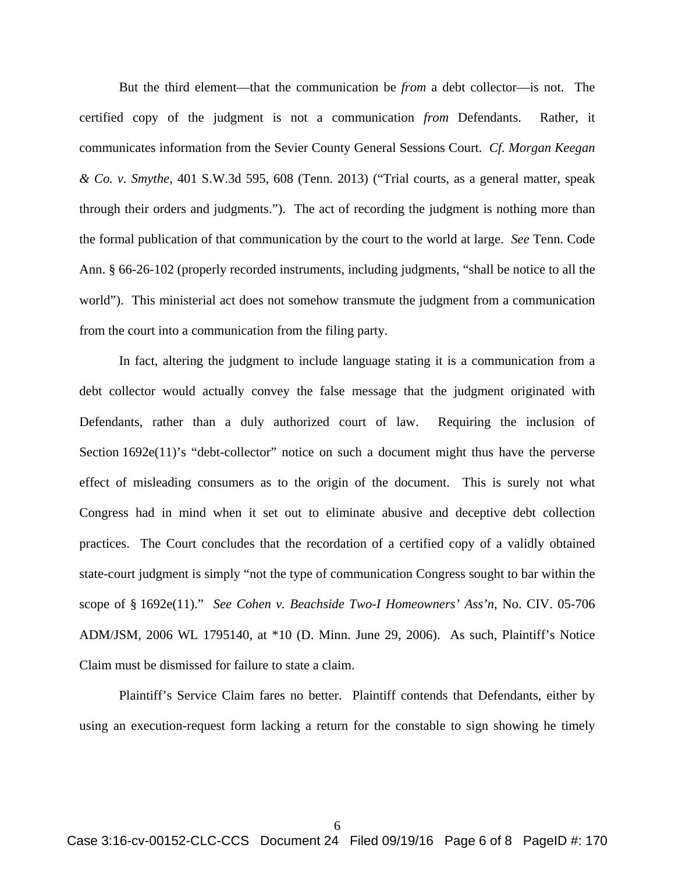But the third element—that the communication be *from* a debt collector—is not. The certified copy of the judgment is not a communication *from* Defendants. Rather, it communicates information from the Sevier County General Sessions Court. *Cf. Morgan Keegan & Co. v. Smythe*, 401 S.W.3d 595, 608 (Tenn. 2013) ("Trial courts, as a general matter, speak through their orders and judgments."). The act of recording the judgment is nothing more than the formal publication of that communication by the court to the world at large. *See* Tenn. Code Ann. § 66-26-102 (properly recorded instruments, including judgments, "shall be notice to all the world"). This ministerial act does not somehow transmute the judgment from a communication from the court into a communication from the filing party.

In fact, altering the judgment to include language stating it is a communication from a debt collector would actually convey the false message that the judgment originated with Defendants, rather than a duly authorized court of law. Requiring the inclusion of Section 1692e(11)'s "debt-collector" notice on such a document might thus have the perverse effect of misleading consumers as to the origin of the document. This is surely not what Congress had in mind when it set out to eliminate abusive and deceptive debt collection practices. The Court concludes that the recordation of a certified copy of a validly obtained state-court judgment is simply "not the type of communication Congress sought to bar within the scope of § 1692e(11)." *See Cohen v. Beachside Two-I Homeowners' Ass'n*, No. CIV. 05-706 ADM/JSM, 2006 WL 1795140, at \*10 (D. Minn. June 29, 2006). As such, Plaintiff's Notice Claim must be dismissed for failure to state a claim.

Plaintiff's Service Claim fares no better. Plaintiff contends that Defendants, either by using an execution-request form lacking a return for the constable to sign showing he timely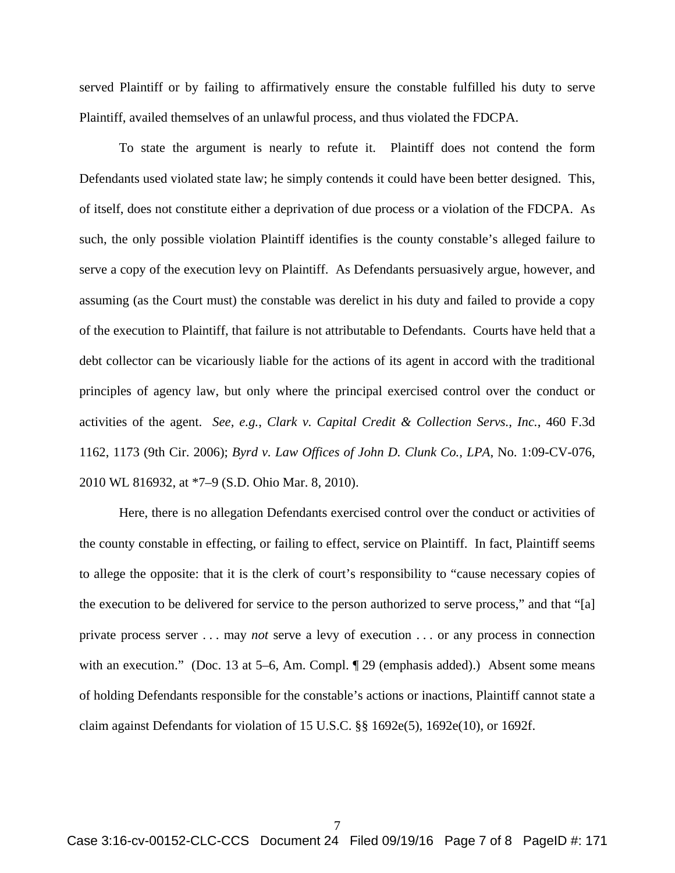served Plaintiff or by failing to affirmatively ensure the constable fulfilled his duty to serve Plaintiff, availed themselves of an unlawful process, and thus violated the FDCPA.

To state the argument is nearly to refute it. Plaintiff does not contend the form Defendants used violated state law; he simply contends it could have been better designed. This, of itself, does not constitute either a deprivation of due process or a violation of the FDCPA. As such, the only possible violation Plaintiff identifies is the county constable's alleged failure to serve a copy of the execution levy on Plaintiff. As Defendants persuasively argue, however, and assuming (as the Court must) the constable was derelict in his duty and failed to provide a copy of the execution to Plaintiff, that failure is not attributable to Defendants. Courts have held that a debt collector can be vicariously liable for the actions of its agent in accord with the traditional principles of agency law, but only where the principal exercised control over the conduct or activities of the agent. *See, e.g.*, *Clark v. Capital Credit & Collection Servs., Inc.*, 460 F.3d 1162, 1173 (9th Cir. 2006); *Byrd v. Law Offices of John D. Clunk Co., LPA*, No. 1:09-CV-076, 2010 WL 816932, at \*7–9 (S.D. Ohio Mar. 8, 2010).

Here, there is no allegation Defendants exercised control over the conduct or activities of the county constable in effecting, or failing to effect, service on Plaintiff. In fact, Plaintiff seems to allege the opposite: that it is the clerk of court's responsibility to "cause necessary copies of the execution to be delivered for service to the person authorized to serve process," and that "[a] private process server . . . may *not* serve a levy of execution . . . or any process in connection with an execution." (Doc. 13 at 5–6, Am. Compl. ¶ 29 (emphasis added).) Absent some means of holding Defendants responsible for the constable's actions or inactions, Plaintiff cannot state a claim against Defendants for violation of 15 U.S.C. §§ 1692e(5), 1692e(10), or 1692f.